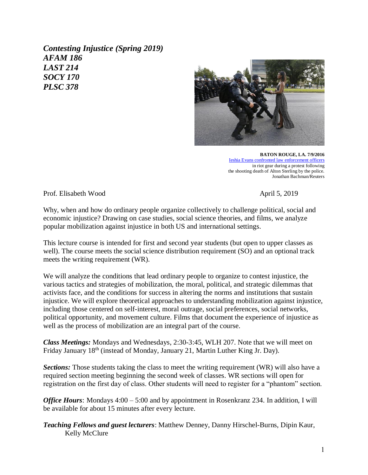*Contesting Injustice (Spring 2019) AFAM 186 LAST 214 SOCY 170 PLSC 378*



**BATON ROUGE, LA. 7/9/2016** [Ieshia Evans confronted law enforcement officers](https://static01.nyt.com/images/2016/12/25/sunday-review/YIP2016-July-slide-TIYO/YIP2016-July-slide-TIYO-jumbo.jpg) in riot gear during a protest following the shooting death of Alton Sterling by the police. Jonathan Bachman/Reuters

Prof. Elisabeth Wood April 5, 2019

Why, when and how do ordinary people organize collectively to challenge political, social and economic injustice? Drawing on case studies, social science theories, and films, we analyze popular mobilization against injustice in both US and international settings.

This lecture course is intended for first and second year students (but open to upper classes as well). The course meets the social science distribution requirement (SO) and an optional track meets the writing requirement (WR).

We will analyze the conditions that lead ordinary people to organize to contest injustice, the various tactics and strategies of mobilization, the moral, political, and strategic dilemmas that activists face, and the conditions for success in altering the norms and institutions that sustain injustice. We will explore theoretical approaches to understanding mobilization against injustice, including those centered on self-interest, moral outrage, social preferences, social networks, political opportunity, and movement culture. Films that document the experience of injustice as well as the process of mobilization are an integral part of the course.

*Class Meetings:* Mondays and Wednesdays, 2:30-3:45, WLH 207. Note that we will meet on Friday January 18<sup>th</sup> (instead of Monday, January 21, Martin Luther King Jr. Day).

*Sections:* Those students taking the class to meet the writing requirement (WR) will also have a required section meeting beginning the second week of classes. WR sections will open for registration on the first day of class. Other students will need to register for a "phantom" section.

*Office Hours*: Mondays 4:00 – 5:00 and by appointment in Rosenkranz 234. In addition, I will be available for about 15 minutes after every lecture.

*Teaching Fellows and guest lecturers*: Matthew Denney, Danny Hirschel-Burns, Dipin Kaur, Kelly McClure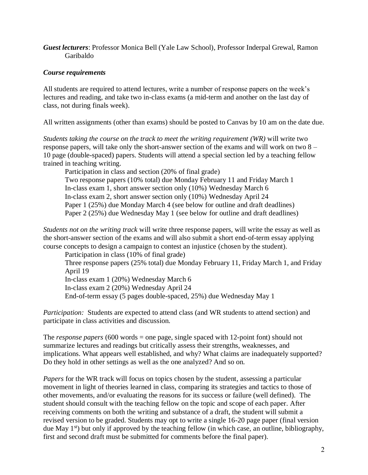*Guest lecturers*: Professor Monica Bell (Yale Law School), Professor Inderpal Grewal, Ramon Garibaldo

# *Course requirements*

All students are required to attend lectures, write a number of response papers on the week's lectures and reading, and take two in-class exams (a mid-term and another on the last day of class, not during finals week).

All written assignments (other than exams) should be posted to Canvas by 10 am on the date due.

*Students taking the course on the track to meet the writing requirement (WR)* will write two response papers, will take only the short-answer section of the exams and will work on two 8 – 10 page (double-spaced) papers. Students will attend a special section led by a teaching fellow trained in teaching writing.

Participation in class and section (20% of final grade) Two response papers (10% total) due Monday February 11 and Friday March 1 In-class exam 1, short answer section only (10%) Wednesday March 6 In-class exam 2, short answer section only (10%) Wednesday April 24 Paper 1 (25%) due Monday March 4 (see below for outline and draft deadlines) Paper 2 (25%) due Wednesday May 1 (see below for outline and draft deadlines)

*Students not on the writing track* will write three response papers, will write the essay as well as the short-answer section of the exams and will also submit a short end-of-term essay applying course concepts to design a campaign to contest an injustice (chosen by the student).

Participation in class (10% of final grade) Three response papers (25% total) due Monday February 11, Friday March 1, and Friday April 19 In-class exam 1 (20%) Wednesday March 6 In-class exam 2 (20%) Wednesday April 24 End-of-term essay (5 pages double-spaced, 25%) due Wednesday May 1

*Participation:* Students are expected to attend class (and WR students to attend section) and participate in class activities and discussion.

The *response papers* (600 words = one page, single spaced with 12-point font) should not summarize lectures and readings but critically assess their strengths, weaknesses, and implications. What appears well established, and why? What claims are inadequately supported? Do they hold in other settings as well as the one analyzed? And so on.

*Papers* for the WR track will focus on topics chosen by the student, assessing a particular movement in light of theories learned in class, comparing its strategies and tactics to those of other movements, and/or evaluating the reasons for its success or failure (well defined). The student should consult with the teaching fellow on the topic and scope of each paper. After receiving comments on both the writing and substance of a draft, the student will submit a revised version to be graded. Students may opt to write a single 16-20 page paper (final version due May  $1^{st}$ ) but only if approved by the teaching fellow (in which case, an outline, bibliography, first and second draft must be submitted for comments before the final paper).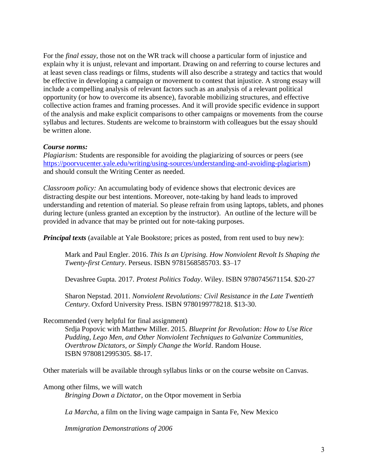For the *final essay,* those not on the WR track will choose a particular form of injustice and explain why it is unjust, relevant and important. Drawing on and referring to course lectures and at least seven class readings or films, students will also describe a strategy and tactics that would be effective in developing a campaign or movement to contest that injustice. A strong essay will include a compelling analysis of relevant factors such as an analysis of a relevant political opportunity (or how to overcome its absence), favorable mobilizing structures, and effective collective action frames and framing processes. And it will provide specific evidence in support of the analysis and make explicit comparisons to other campaigns or movements from the course syllabus and lectures. Students are welcome to brainstorm with colleagues but the essay should be written alone.

## *Course norms:*

*Plagiarism:* Students are responsible for avoiding the plagiarizing of sources or peers (see [https://poorvucenter.yale.edu/writing/using-sources/understanding-and-avoiding-plagiarism\)](https://poorvucenter.yale.edu/writing/using-sources/understanding-and-avoiding-plagiarism) and should consult the Writing Center as needed.

*Classroom policy:* An accumulating body of evidence shows that electronic devices are distracting despite our best intentions. Moreover, note-taking by hand leads to improved understanding and retention of material. So please refrain from using laptops, tablets, and phones during lecture (unless granted an exception by the instructor). An outline of the lecture will be provided in advance that may be printed out for note-taking purposes.

*Principal texts* (available at Yale Bookstore; prices as posted, from rent used to buy new):

Mark and Paul Engler. 2016. *This Is an Uprising. How Nonviolent Revolt Is Shaping the Twenty-first Century*. Perseus. ISBN 9781568585703. \$3–17

Devashree Gupta. 2017. *Protest Politics Today*. Wiley. ISBN 9780745671154. \$20-27

Sharon Nepstad. 2011. *Nonviolent Revolutions: Civil Resistance in the Late Twentieth Century*. Oxford University Press. ISBN 9780199778218. \$13-30.

### Recommended (very helpful for final assignment)

Srdja Popovic with Matthew Miller. 2015. *Blueprint for Revolution: How to Use Rice Pudding, Lego Men, and Other Nonviolent Techniques to Galvanize Communities, Overthrow Dictators, or Simply Change the World*. Random House. ISBN 9780812995305. \$8-17.

Other materials will be available through syllabus links or on the course website on Canvas.

Among other films, we will watch *Bringing Down a Dictator,* on the Otpor movement in Serbia

*La Marcha*, a film on the living wage campaign in Santa Fe, New Mexico

*Immigration Demonstrations of 2006*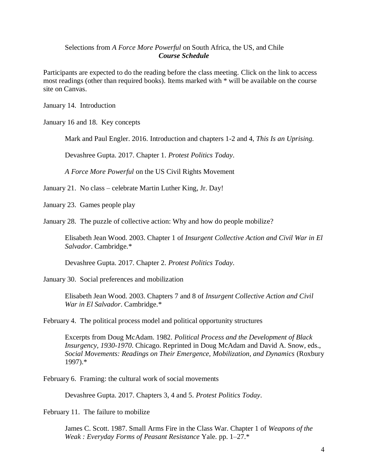### Selections from *A Force More Powerful* on South Africa, the US, and Chile *Course Schedule*

Participants are expected to do the reading before the class meeting. Click on the link to access most readings (other than required books). Items marked with \* will be available on the course site on Canvas.

January 14. Introduction

January 16 and 18. Key concepts

Mark and Paul Engler. 2016. Introduction and chapters 1-2 and 4, *This Is an Uprising.* 

Devashree Gupta. 2017. Chapter 1. *Protest Politics Today*.

*A Force More Powerful* on the US Civil Rights Movement

January 21. No class – celebrate Martin Luther King, Jr. Day!

January 23. Games people play

January 28. The puzzle of collective action: Why and how do people mobilize?

Elisabeth Jean Wood. 2003. Chapter 1 of *Insurgent Collective Action and Civil War in El Salvador*. Cambridge.\*

Devashree Gupta. 2017. Chapter 2. *Protest Politics Today*.

January 30. Social preferences and mobilization

Elisabeth Jean Wood. 2003. Chapters 7 and 8 of *Insurgent Collective Action and Civil War in El Salvador*. Cambridge.\*

February 4. The political process model and political opportunity structures

Excerpts from Doug McAdam. 1982. *Political Process and the Development of Black Insurgency, 1930-1970*. Chicago. Reprinted in Doug McAdam and David A. Snow, eds., *Social Movements: Readings on Their Emergence, Mobilization, and Dynamics* (Roxbury 1997).\*

February 6. Framing: the cultural work of social movements

Devashree Gupta. 2017. Chapters 3, 4 and 5. *Protest Politics Today*.

February 11. The failure to mobilize

James C. Scott. 1987. Small Arms Fire in the Class War. Chapter 1 of *Weapons of the Weak : Everyday Forms of Peasant Resistance* Yale. pp. 1–27.\*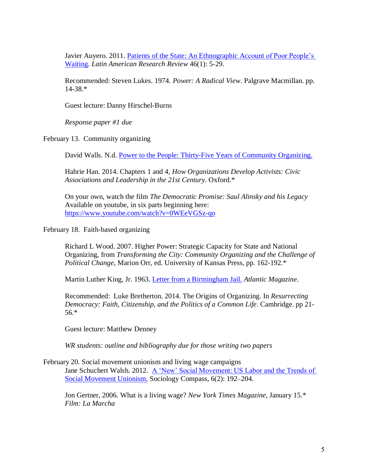Javier Auyero. 2011. [Patients of the State: An Ethnographic Account of Poor People's](http://lasa.international.pitt.edu/LARR/prot/fulltext/vol46no1/Auyero_5-29_46-1.pdf)  [Waiting.](http://lasa.international.pitt.edu/LARR/prot/fulltext/vol46no1/Auyero_5-29_46-1.pdf) *Latin American Research Review* 46(1): 5-29.

Recommended: Steven Lukes. 1974. *Power: A Radical View*. Palgrave Macmillan. pp. 14-38.\*

Guest lecture: Danny Hirschel-Burns

*Response paper #1 due*

February 13. Community organizing

David Walls. N.d. Power to the People: Thirty-Five [Years of Community Organizing.](http://web.sonoma.edu/users/w/wallsd/pdf/community-organizing.pdf)

Hahrie Han. 2014. Chapters 1 and 4, *How Organizations Develop Activists: Civic Associations and Leadership in the 21st Century*. Oxford.\*

On your own, watch the film *The Democratic Promise: Saul Alinsky and his Legacy* Available on youtube, in six parts beginning here: <https://www.youtube.com/watch?v=0WEeVGSz-qo>

February 18. Faith-based organizing

Richard L Wood. 2007. Higher Power: Strategic Capacity for State and National Organizing, from *Transforming the City: Community Organizing and the Challenge of Political Change*, Marion Orr, ed. University of Kansas Press, pp. 162-192.\*

Martin Luther King, Jr. 1963. [Letter from a Birmingham Jail.](https://www.theatlantic.com/magazine/archive/2018/02/letter-from-birmingham-jail/552461/) *Atlantic Magazine*.

Recommended: Luke Bretherton. 2014. The Origins of Organizing. In *Resurrecting Democracy: Faith, Citizenship, and the Politics of a Common Life*. Cambridge. pp 21- 56.\*

Guest lecture: Matthew Denney

*WR students: outline and bibliography due for those writing two papers*

February 20. Social movement unionism and living wage campaigns Jane Schuchert Walsh. 2012. A 'New' Social Movement: US Labor and the Trends of [Social Movement Unionism.](https://onlinelibrary.wiley.com/doi/pdf/10.1111/j.1751-9020.2011.00442.x#accessDenialLayout) Sociology Compass, 6(2): 192–204.

Jon Gertner, 2006. What is a living wage? *New York Times Magazine*, January 15.\* *Film: La Marcha*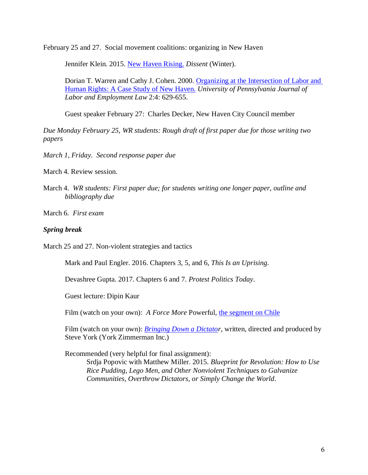February 25 and 27. Social movement coalitions: organizing in New Haven

Jennifer Klein. 2015. [New Haven Rising.](https://www.dissentmagazine.org/article/new-haven-rising) *Dissent* (Winter).

Dorian T. Warren and Cathy J. Cohen. 2000. [Organizing at the Intersection of Labor and](https://www.law.upenn.edu/journals/jbl/articles/volume2/issue4/WarrenCohen2U.Pa.J.Lab.&Emp.L.629%282000%29.pdf)  [Human Rights: A Case Study of New Haven.](https://www.law.upenn.edu/journals/jbl/articles/volume2/issue4/WarrenCohen2U.Pa.J.Lab.&Emp.L.629%282000%29.pdf) *University of Pennsylvania Journal of Labor and Employment Law* 2:4: 629-655.

Guest speaker February 27: Charles Decker, New Haven City Council member

*Due Monday February 25, WR students: Rough draft of first paper due for those writing two papers*

*March 1, Friday. Second response paper due*

March 4. Review session.

- March 4. *WR students: First paper due; for students writing one longer paper, outline and bibliography due*
- March 6. *First exam*

#### *Spring break*

March 25 and 27. Non-violent strategies and tactics

Mark and Paul Engler. 2016. Chapters 3, 5, and 6, *This Is an Uprising.* 

Devashree Gupta. 2017. Chapters 6 and 7. *Protest Politics Today*.

Guest lecture: Dipin Kaur

Film (watch on your own): *A Force More Powerful*, [the segment on Chile](https://youtu.be/mD5xKALhnxg?t=3121)

Film (watch on your own): *[Bringing Down a Dictator](https://youtu.be/9F7PxCVQ5Nk)*, written, directed and produced by Steve York (York Zimmerman Inc.)

Recommended (very helpful for final assignment):

Srdja Popovic with Matthew Miller. 2015. *Blueprint for Revolution: How to Use Rice Pudding, Lego Men, and Other Nonviolent Techniques to Galvanize Communities, Overthrow Dictators, or Simply Change the World*.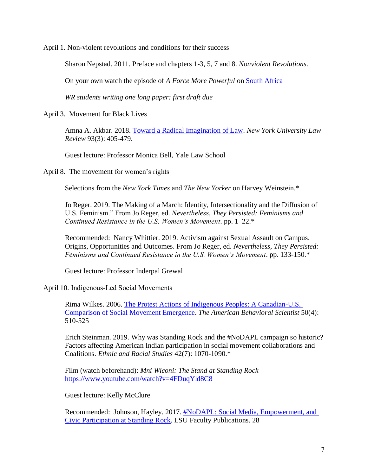April 1. Non-violent revolutions and conditions for their success

Sharon Nepstad. 2011. Preface and chapters 1-3, 5, 7 and 8. *Nonviolent Revolutions.* 

On your own watch the episode of *A Force More Powerful* on **South Africa** 

*WR students writing one long paper: first draft due*

April 3. Movement for Black Lives

Amna A. Akbar. 2018. [Toward a Radical Imagination of Law.](https://www.nyulawreview.org/wp-content/uploads/2018/06/NYULaw-93-3-Akbar.pdf) *New York University Law Review* 93(3): 405-479.

Guest lecture: Professor Monica Bell, Yale Law School

April 8. The movement for women's rights

Selections from the *New York Times* and *The New Yorker* on Harvey Weinstein.\*

Jo Reger. 2019. The Making of a March: Identity, Intersectionality and the Diffusion of U.S. Feminism." From Jo Reger, ed. *Nevertheless, They Persisted: Feminisms and Continued Resistance in the U.S. Women's Movement*. pp. 1–22.\*

Recommended: Nancy Whittier. 2019. Activism against Sexual Assault on Campus. Origins, Opportunities and Outcomes. From Jo Reger, ed. *Nevertheless, They Persisted: Feminisms and Continued Resistance in the U.S. Women's Movement*. pp. 133-150.\*

Guest lecture: Professor Inderpal Grewal

April 10. Indigenous-Led Social Movements

Rima Wilkes. 2006. [The Protest Actions of Indigenous Peoples: A Canadian-U.S.](https://journals.sagepub.com/doi/pdf/10.1177/0002764206294059)  [Comparison of Social Movement Emergence.](https://journals.sagepub.com/doi/pdf/10.1177/0002764206294059) *The American Behavioral Scientist* 50(4): 510-525

Erich Steinman. 2019. Why was Standing Rock and the #NoDAPL campaign so historic? Factors affecting American Indian participation in social movement collaborations and Coalitions. *Ethnic and Racial Studies* 42(7): 1070-1090.\*

Film (watch beforehand): *Mni Wiconi: The Stand at Standing Rock* <https://www.youtube.com/watch?v=4FDuqYld8C8>

Guest lecture: Kelly McClure

Recommended: Johnson, Hayley. 2017. **#NoDAPL: Social Media, Empowerment, and** [Civic Participation at Standing Rock.](https://digitalcommons.lsu.edu/cgi/viewcontent.cgi?article=1028&context=libraries_pubs) LSU Faculty Publications. 28